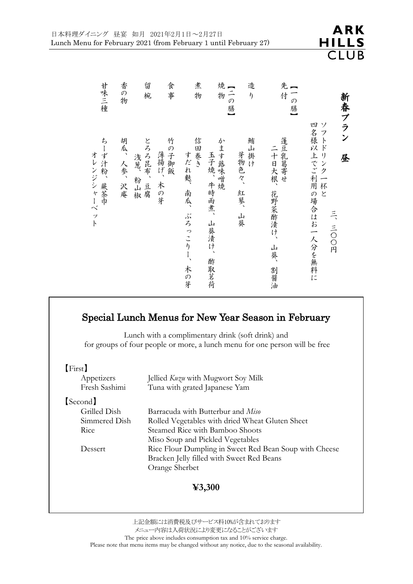

| 甘味三種                                              | 香の物      | 留<br>椀                     | 食事               | 煮<br>物                              | 焼物                                        | 造<br>【二の膳】<br>$\eta$       | 先付<br>【一の膳】                               |                                                   | 新春プラン |
|---------------------------------------------------|----------|----------------------------|------------------|-------------------------------------|-------------------------------------------|----------------------------|-------------------------------------------|---------------------------------------------------|-------|
| ちーず汁粉、蕨茶巾<br>オレンジシャーベ<br>.<br>Y<br>$\overline{b}$ | 胡瓜、人参、沢庵 | とろろ昆布、<br>浅葱、<br>粉山椒<br>豆腐 | 竹の子御飯<br>薄揚げ、木の芽 | 信<br>.田巻き<br>すだれ麩、南瓜、ぶろっこりー、<br>木の芽 | かます蕗味噌焼<br>玉子燒、<br>牛時雨煮、<br>山葵漬け、<br>酢取茗荷 | 鮪山掛け<br>芽物色々、<br>紅蓼、<br>山葵 | 蓬豆乳葛寄せ<br>二十日大根、<br>花野菜酢漬け、<br>山葵、<br>割醤油 | ソ<br>四名様以上でご利用の場合はお一人分を無料に<br>フトドリンク一杯と<br>三、三〇〇円 | 昼     |

### Special Lunch Menus for New Year Season in February

Lunch with a complimentary drink (soft drink) and for groups of four people or more, a lunch menu for one person will be free

【First】

| [First]       |                                                        |
|---------------|--------------------------------------------------------|
| Appetizers    | Jellied Kuzu with Mugwort Soy Milk                     |
| Fresh Sashimi | Tuna with grated Japanese Yam                          |
| [Second]      |                                                        |
| Grilled Dish  | Barracuda with Butterbur and <i>Miso</i>               |
| Simmered Dish | Rolled Vegetables with dried Wheat Gluten Sheet        |
| Rice          | Steamed Rice with Bamboo Shoots                        |
|               | Miso Soup and Pickled Vegetables                       |
| Dessert       | Rice Flour Dumpling in Sweet Red Bean Soup with Cheese |
|               | Bracken Jelly filled with Sweet Red Beans              |
|               | Orange Sherbet                                         |
|               |                                                        |

#### **¥3,300**

The price above includes consumption tax and 10% service charge.

Please note that menu items may be changed without any notice, due to the seasonal availability.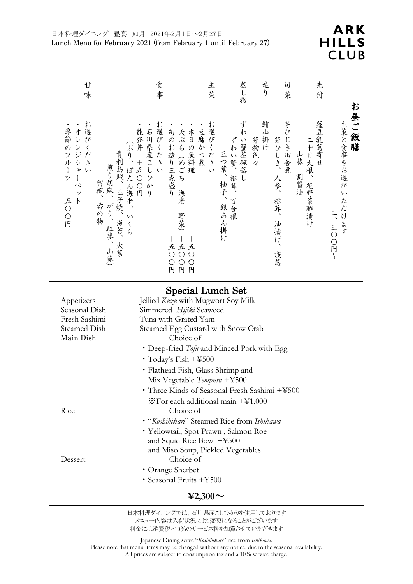|                                                      | 廿<br>味  | 食<br>事                                                                                                                |                                                                                                                                                                             | 蒸し物<br>主<br>菜                                                  | 造り<br>旬<br>菜                                         | 先<br>付                              |                                     |
|------------------------------------------------------|---------|-----------------------------------------------------------------------------------------------------------------------|-----------------------------------------------------------------------------------------------------------------------------------------------------------------------------|----------------------------------------------------------------|------------------------------------------------------|-------------------------------------|-------------------------------------|
| ・オレンジシャーベッ<br>季節のフ<br>ルーツ<br>十五〇〇円<br>$\overline{b}$ | お選びください | お選びください<br>石<br>能登丼 +-<br>川県産こし<br>(煎り胡麻、がり、紅蓼、山葵) 青利烏賊、玉子焼、海苔、大葉<br>十五〇〇円<br>ぼたん海老、いくら<br>ひか<br>留椀、<br>$\eta$<br>香の物 | ・豆腐かつ煮<br>本日<br>天ぷら(めご<br>旬の<br>お造り三点盛り<br>の魚料<br>埋<br>ち<br>海老<br>野菜)<br>$^{+}$<br>$^{+}$<br>五五五<br>$\bigcirc$<br>$\bigcirc$<br>$\overline{O}$<br>$\bigcirc$<br>円<br>円<br>円 | ずわ<br>お選<br>びください<br>ずわい蟹、椎茸、百合根<br>い蟹茶碗蒸し<br>三つ葉、<br>柚子、銀あん掛け | 芽ひじき田舎煮<br>鮪山掛け<br>芽ひじき、人参、椎茸、<br>芽物色々<br>油揚げ、<br>浅葱 | 蓬豆乳葛寄せ<br>二十日大根、花野菜酢漬け<br>山葵<br>割醤油 | お昼ご飯膳<br>主菜と食事をお選びいただけます<br>ニ、三〇〇円〜 |

#### Special Lunch Set

| Appetizers    | Jellied Kuzu with Mugwort Soy Milk                  |  |
|---------------|-----------------------------------------------------|--|
| Seasonal Dish | Simmered Hijiki Seaweed                             |  |
| Fresh Sashimi | Tuna with Grated Yam                                |  |
| Steamed Dish  | Steamed Egg Custard with Snow Crab                  |  |
| Main Dish     | Choice of                                           |  |
|               | • Deep-fried $Tofu$ and Minced Pork with Egg        |  |
|               | • Today's Fish $+$ ¥500                             |  |
|               | • Flathead Fish, Glass Shrimp and                   |  |
|               | Mix Vegetable $Tempura + \yen 500$                  |  |
|               | • Three Kinds of Seasonal Fresh Sashimi +¥500       |  |
|               | $\mathcal{K}$ For each additional main $+\xi$ 1,000 |  |
| Rice          | Choice of                                           |  |
|               | • "Koshihikari" Steamed Rice from Ishikawa          |  |
|               | • Yellowtail, Spot Prawn, Salmon Roe                |  |
|               | and Squid Rice Bowl $+4500$                         |  |
|               | and Miso Soup, Pickled Vegetables                   |  |
| Dessert       | Choice of                                           |  |
|               | • Orange Sherbet                                    |  |
|               | • Seasonal Fruits +¥500                             |  |
|               | $\mathbf{\mathbf{\mathbf{\mathbf{4}}}2,300}$ $\sim$ |  |

日本料理ダイニングでは、石川県産こしひかりを使用しております メニュー内容は入荷状況により変更になることがございます 料金には消費税と10%のサービス料を加算させていただきます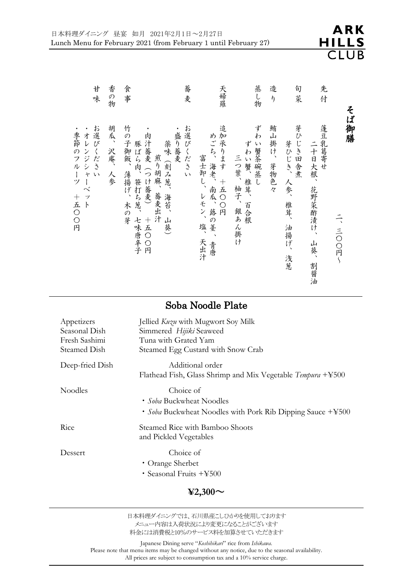・ 季 節 の フ ル ー ツ

 $\boldsymbol{+}$ 五  $\bigcirc$  $\bigcirc$ 円

| 甘味                            | 香の物          | 食事                                                                                                               | 蕎<br>麦  | 天婦羅                                                               | 蒸し物                                             | 造<br>$\eta$ | 旬<br>菜                                   | 先<br>付                               |                 |
|-------------------------------|--------------|------------------------------------------------------------------------------------------------------------------|---------|-------------------------------------------------------------------|-------------------------------------------------|-------------|------------------------------------------|--------------------------------------|-----------------|
| お選びください<br>オ<br>レンジシャーベ<br>ット | 胡瓜、沢庵、<br>人参 | 竹の子御飯、<br>盛り蕎麦<br>肉汁蕎麦(つけ蕎麦)<br>薬味(刻み葱、<br>豚ばら肉、<br>煎り胡麻、蕎麦出汁<br>薄揚げ、木の芽<br>笹打ち葱、<br>海苔、<br>山葵<br>七味唐辛子<br>+五〇〇円 | お選びください | 追加承ります<br>めごち、海老、南瓜、蕗の薹、<br>富士卸し、<br>+五〇〇円<br>レモン、<br>塩、天出汁<br>青唐 | ずわい蟹茶碗蒸し<br>ずわい蟹、椎茸、<br>三つ葉、<br>柚子、銀あん掛け<br>百合根 | 鮪山掛け、芽物色々   | 芽ひじき田舎煮<br>芽ひじき、人参、<br>椎茸、<br>油揚げ、<br>浅葱 | 蓬豆乳葛寄せ<br>二十日大根、花野菜酢漬け、<br>山葵、<br>割醤 | そば御膳<br>l、三〇〇円~ |

## Soba Noodle Plate

| Appetizers<br>Seasonal Dish<br>Fresh Sashimi<br>Steamed Dish | Jellied <i>Kuzu</i> with Mugwort Soy Milk<br>Simmered Hijiki Seaweed<br>Tuna with Grated Yam<br>Steamed Egg Custard with Snow Crab |
|--------------------------------------------------------------|------------------------------------------------------------------------------------------------------------------------------------|
| Deep-fried Dish                                              | Additional order<br>Flathead Fish, Glass Shrimp and Mix Vegetable Tempura +¥500                                                    |
| Noodles                                                      | Choice of<br>• <i>Soba</i> Buckwheat Noodles<br>• <i>Soba</i> Buckwheat Noodles with Pork Rib Dipping Sauce +¥500                  |
| Rice                                                         | Steamed Rice with Bamboo Shoots<br>and Pickled Vegetables                                                                          |
| Dessert                                                      | Choice of<br>• Orange Sherbet<br>• Seasonal Fruits $+4500$                                                                         |

#### **¥2,300**~

日本料理ダイニングでは、石川県産こしひかりを使用しております メニュー内容は入荷状況により変更になることがございます 料金には消費税と10%のサービス料を加算させていただきます

Japanese Dining serve "*Koshihikari*" rice from *Ishikawa.* Please note that menu items may be changed without any notice, due to the seasonal availability. All prices are subject to consumption tax and a 10% service charge.

**ARK** 

油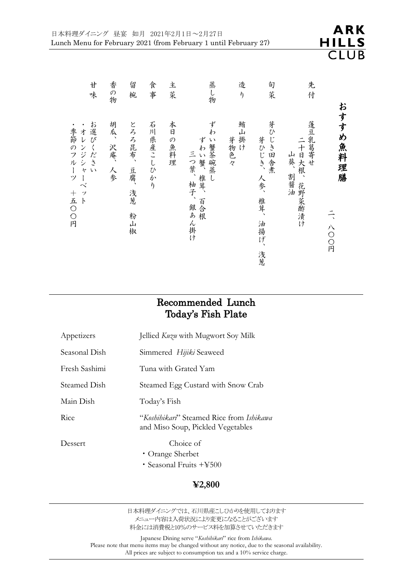| 廿<br>味                                                                                                                                                                      | 香の物              | 留<br>椀                         | 食事        | 主<br>茱 | 蒸し物                                                      | 造<br>$\eta$              | 旬<br>菜                                       | 先<br>付                                   |                                                  |
|-----------------------------------------------------------------------------------------------------------------------------------------------------------------------------|------------------|--------------------------------|-----------|--------|----------------------------------------------------------|--------------------------|----------------------------------------------|------------------------------------------|--------------------------------------------------|
| お選びください<br>$\bullet$<br>季節のフ<br>オレン<br>ジシ<br>$\nu$<br>$\mathbf{I}$<br>$\ddot{\tau}$<br>$\begin{array}{c} \hline \end{array}$<br>ッ<br>$\sim$<br>十五〇〇円<br>ッ<br>$\overline{b}$ | 胡瓜、<br>沢庵、<br>人参 | とろろ昆布、<br>豆腐、<br>浅葱<br>粉山<br>椒 | 石川県産こしひかり | 本日の魚料理 | ずわ<br>い蟹茶碗蒸し<br>ずわい蟹、椎茸、<br>三つ葉、<br>、柚子、<br>百合根<br>銀あん掛け | 鮪<br>山<br>掛<br>芽物色々<br>计 | 芽ひじき田舎煮<br>芽ひじき、<br>人参、<br>椎茸、<br>油揚げ、<br>浅葱 | 蓬豆乳葛寄せ<br>二十日大根、<br>山葵、<br>割醤油<br>花野菜酢漬け | おすすめ魚料<br>理<br>膳<br>$\frac{1}{\sqrt{2}}$<br>八〇〇円 |

## Recommended Lunch Today's Fish Plate

| Appetizers    | Jellied <i>Kuzu</i> with Mugwort Soy Milk                                                    |
|---------------|----------------------------------------------------------------------------------------------|
| Seasonal Dish | Simmered Hijiki Seaweed                                                                      |
| Fresh Sashimi | Tuna with Grated Yam                                                                         |
| Steamed Dish  | Steamed Egg Custard with Snow Crab                                                           |
| Main Dish     | Today's Fish                                                                                 |
| Rice          | <i>"Koshihikari</i> " Steamed Rice from <i>Ishikawa</i><br>and Miso Soup, Pickled Vegetables |
| Dessert       | Choice of<br>• Orange Sherbet<br>• Seasonal Fruits $+\frac{1}{2}500$                         |
|               |                                                                                              |

#### **¥2,800**

日本料理ダイニングでは、石川県産こしひかりを使用しております メニュー内容は入荷状況により変更になることがございます 料金には消費税と10%のサービス料を加算させていただきます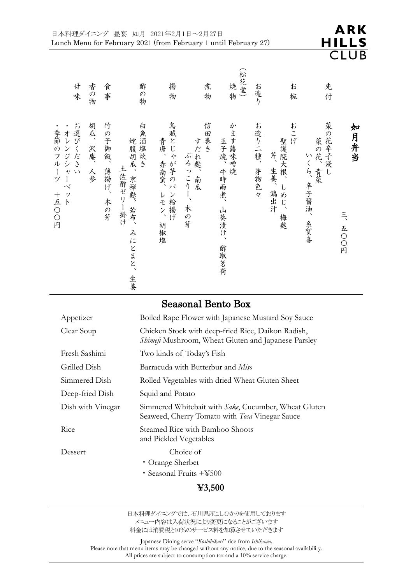| 甘味                                                               | 香の物          | 食事                | 酢の物                                                    | 揚<br>物                         | 煮<br>物                                | (松花堂)<br>焼物                              | お造り        | お<br>椀                          | 先<br>付                                |                |
|------------------------------------------------------------------|--------------|-------------------|--------------------------------------------------------|--------------------------------|---------------------------------------|------------------------------------------|------------|---------------------------------|---------------------------------------|----------------|
| お選びください<br>オレンジシャーベッ<br>季節のフ<br>ルー<br>ッ<br>十五〇〇円<br>$\mathbf{A}$ | 胡瓜、沢庵、<br>人参 | 竹の子御飯、薄揚げ、<br>木の芽 | 白魚酒塩炊き<br>蛇腹胡瓜、<br>土佐酢ゼリー掛け<br>京禅麩、若布、<br>みにとまと、<br>生姜 | ――青唐、赤南蛮、レモン、胡椒塩・鳥賊とじゃが芋のパン粉揚げ | 信<br>田巻き<br>すだれ麩、南瓜<br>ぶろっこりー、<br>木の芽 | 「玉子焼、牛;かます蕗味噌焼<br>牛時雨煮、<br>山葵漬け、<br>酢取茗荷 | お造り二種、芽物色々 | おこげ<br>聖護院大根、しめじ、梅麩<br>芹、生姜、鶏出汁 | 菜の花辛子浸し<br>菜の花、青菜<br>いくら、辛子醤油、<br>糸賀喜 | 如月弁当<br>三、五〇〇円 |

# Seasonal Bento Box

| Appetizer         | Boiled Rape Flower with Japanese Mustard Soy Sauce                                                                    |
|-------------------|-----------------------------------------------------------------------------------------------------------------------|
| Clear Soup        | Chicken Stock with deep-fried Rice, Daikon Radish,<br>Shimeji Mushroom, Wheat Gluten and Japanese Parsley             |
| Fresh Sashimi     | Two kinds of Today's Fish                                                                                             |
| Grilled Dish      | Barracuda with Butterbur and Miso                                                                                     |
| Simmered Dish     | Rolled Vegetables with dried Wheat Gluten Sheet                                                                       |
| Deep-fried Dish   | Squid and Potato                                                                                                      |
| Dish with Vinegar | Simmered Whitebait with <i>Sake</i> , Cucumber, Wheat Gluten<br>Seaweed, Cherry Tomato with <i>Tosa</i> Vinegar Sauce |
| Rice              | Steamed Rice with Bamboo Shoots<br>and Pickled Vegetables                                                             |
| Dessert           | Choice of                                                                                                             |
|                   | • Orange Sherbet                                                                                                      |
|                   | • Seasonal Fruits +¥500                                                                                               |

### **¥3,500**

日本料理ダイニングでは、石川県産こしひかりを使用しております メニュー内容は入荷状況により変更になることがございます 料金には消費税と10%のサービス料を加算させていただきます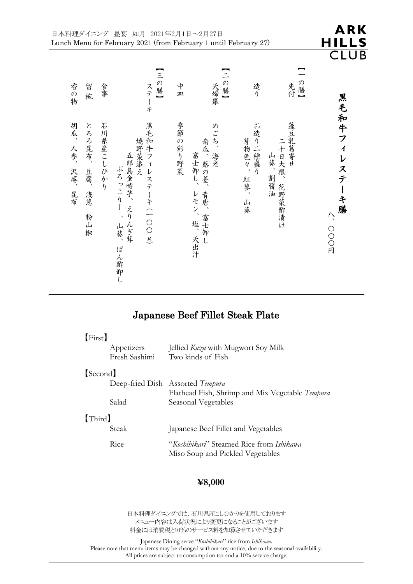| 香の物<br>留<br>食事<br>椀                                        | 【三の膳】<br>ステーキ                                                       | の膳】<br>中皿<br>天婦羅                                                      | の膳】<br>先付<br>造り                                                   |                        |
|------------------------------------------------------------|---------------------------------------------------------------------|-----------------------------------------------------------------------|-------------------------------------------------------------------|------------------------|
| 石川県産こしひかり<br>胡瓜、人参、沢庵、<br>とろろ昆布、<br>豆腐、<br>昆布<br>浅葱<br>粉山椒 | 黒毛和牛フィレステーキ (一〇〇g)<br>焼野菜添え<br>五郎島金時芋、えりんぎ茸<br>ぶろっこりー 、<br>山葵、ぽん酢卸し | 季節の彩り野菜<br>めごち、<br>南瓜、蕗の薹、<br>海老<br>富士卸し、<br>青唐、富士卸し<br>レモン、塩、<br>天出汁 | 蓬豆乳葛寄せ<br>お造り二種盛り<br>芽物色々、<br>二十日大根、花野菜酢漬け<br>山葵、割醤油<br>紅蓼、<br>山葵 | 黒毛和牛フィレステーキ膳<br>八、○○○円 |

## Japanese Beef Fillet Steak Plate

| (First)  | Appetizers<br>Fresh Sashimi | Jellied <i>Kuzu</i> with Mugwort Soy Milk<br>Two kinds of Fish                              |
|----------|-----------------------------|---------------------------------------------------------------------------------------------|
| [Second] |                             |                                                                                             |
|          |                             | Deep-fried Dish Assorted Tempura                                                            |
|          |                             | Flathead Fish, Shrimp and Mix Vegetable Tempura                                             |
|          | Salad                       | Seasonal Vegetables                                                                         |
| [Third]  |                             |                                                                                             |
|          | Steak                       | Japanese Beef Fillet and Vegetables                                                         |
|          | Rice                        | <i>"Koshihikari</i> " Steamed Rice from <i>Ishikawa</i><br>Miso Soup and Pickled Vegetables |

#### **¥8,000**

日本料理ダイニングでは、石川県産こしひかりを使用しております メニュー内容は入荷状況により変更になることがございます 料金には消費税と10%のサービス料を加算させていただきます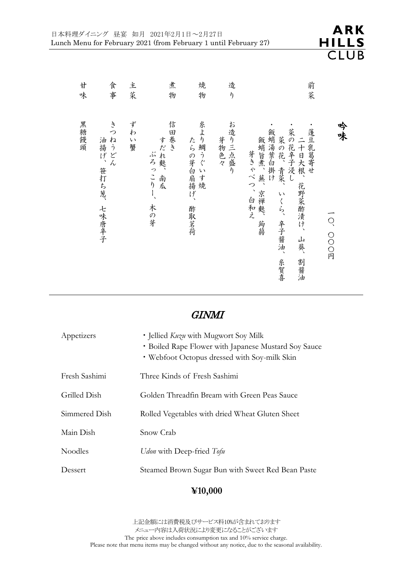| 廿<br>味 | 食<br>事                       | 主<br>茱   | 煮<br>物                                                   | 焼<br>物                         | 造<br>$\eta$     | 前                                                                                                                                            | 菜                         |
|--------|------------------------------|----------|----------------------------------------------------------|--------------------------------|-----------------|----------------------------------------------------------------------------------------------------------------------------------------------|---------------------------|
| 黑糖馒头   | きつ<br>ねうどん<br>油揚げ、笹打ち葱、七味唐辛子 | ずわ<br>い蟹 | 信<br>田巻き<br>すだれ麩、<br>ぶろっこり<br>南瓜<br>$\frac{1}{2}$<br>木の芽 | 糸より鯛うぐいす焼<br>たらの芽白扇揚げ、<br>酢取茗荷 | お造り三点盛り<br>芽物色々 | ・菜の花辛子浸し<br>飯蛸湯葉白掛け<br>菜の花、青菜、<br>飯蛸旨煮、蕪、<br>芽きゃべつ、<br>せ<br>$\overline{L}$<br>花野菜酢漬け、<br>京禅麩、蒟蒻<br>いくら、<br>白和え<br>辛子醤油、<br>山葵、<br>糸賀喜<br>割醤油 | 吟<br>蓬豆乳葛寄<br>味<br>O、OOO円 |

### GINMI

| Appetizers     | • Jellied <i>Kuzu</i> with Mugwort Soy Milk<br>• Boiled Rape Flower with Japanese Mustard Soy Sauce<br>• Webfoot Octopus dressed with Soy-milk Skin |
|----------------|-----------------------------------------------------------------------------------------------------------------------------------------------------|
| Fresh Sashimi  | Three Kinds of Fresh Sashimi                                                                                                                        |
| Grilled Dish   | Golden Threadfin Bream with Green Peas Sauce                                                                                                        |
| Simmered Dish  | Rolled Vegetables with dried Wheat Gluten Sheet                                                                                                     |
| Main Dish      | Snow Crab                                                                                                                                           |
| <b>Noodles</b> | Udon with Deep-fried Tofu                                                                                                                           |
| Dessert        | Steamed Brown Sugar Bun with Sweet Red Bean Paste                                                                                                   |

### **¥10,000**

上記金額には消費税及びサービス料10%が含まれております メニュー内容は入荷状況により変更になることがございます The price above includes consumption tax and 10% service charge. Please note that menu items may be changed without any notice, due to the seasonal availability.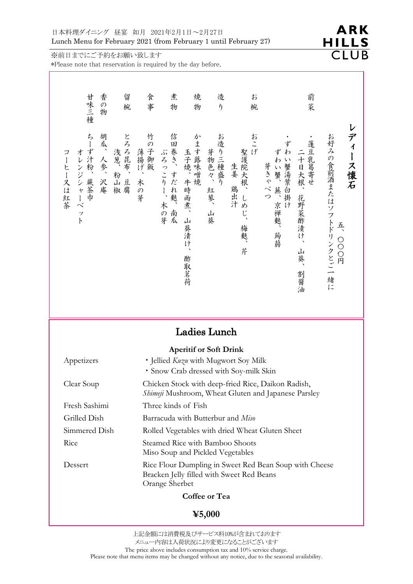※前日までにご予約をお願い致します

\*Please note that reservation is required by the day before.

| 甘味三種                                                                | 香の物<br>留<br>椀                          | 食事                                                    | 煮<br>物                                 | 焼<br>物                    | 造<br>$\eta$       | お<br>椀                |                                     | 前菜                                 |                                             |
|---------------------------------------------------------------------|----------------------------------------|-------------------------------------------------------|----------------------------------------|---------------------------|-------------------|-----------------------|-------------------------------------|------------------------------------|---------------------------------------------|
| $t_{\rm{5}}$<br>ーず汁粉、蕨茶巾<br>オレンジシャーベッ<br>コーヒー又は紅茶<br>$\overline{b}$ | 胡瓜、人参、<br>とろろ昆布、<br>浅葱、粉山椒<br>沢庵<br>豆腐 | 竹の子御飯<br>薄揚げ、<br>ぶろっこり<br>木の芽<br>$\frac{1}{2}$<br>木の芽 | 信田巻き、すだれ麩、南瓜<br>玉子焼、牛時雨煮、山葵漬け、<br>酢取茗荷 | かます蕗味噌焼<br>芽物色々、紅蓼、<br>山葵 | お造り三種盛り<br>生姜 鶏出汁 | おこげ<br>聖護院大根、しめじ、梅麩、芹 | ずわい蟹湯葉白掛け<br>ずわい蟹、蕪、京禅麩、蒟蒻<br>芽きゃべつ | ・蓬豆乳葛寄せ<br>二十日大根、花野菜酢漬け、山葵、<br>割醤油 | レディース懐石<br>お好みの食前酒またはソフトドリンクとご一緒に<br>五、〇〇〇円 |

# Ladies Lunch

| <b>Aperitif or Soft Drink</b> |                                                            |  |  |  |
|-------------------------------|------------------------------------------------------------|--|--|--|
| Appetizers                    | • Jellied <i>Kuzu</i> with Mugwort Soy Milk                |  |  |  |
|                               | • Snow Crab dressed with Soy-milk Skin                     |  |  |  |
| Clear Soup                    | Chicken Stock with deep-fried Rice, Daikon Radish,         |  |  |  |
|                               | <i>Shimeji</i> Mushroom, Wheat Gluten and Japanese Parsley |  |  |  |
| Fresh Sashimi                 | Three kinds of Fish                                        |  |  |  |
| Grilled Dish                  | Barracuda with Butterbur and <i>Miso</i>                   |  |  |  |
| Simmered Dish                 | Rolled Vegetables with dried Wheat Gluten Sheet            |  |  |  |
| Rice                          | Steamed Rice with Bamboo Shoots                            |  |  |  |
|                               | Miso Soup and Pickled Vegetables                           |  |  |  |
| Dessert                       | Rice Flour Dumpling in Sweet Red Bean Soup with Cheese     |  |  |  |
|                               | Bracken Jelly filled with Sweet Red Beans                  |  |  |  |
|                               | Orange Sherbet                                             |  |  |  |
| Coffee or Tea                 |                                                            |  |  |  |
|                               |                                                            |  |  |  |

# **¥5,000**